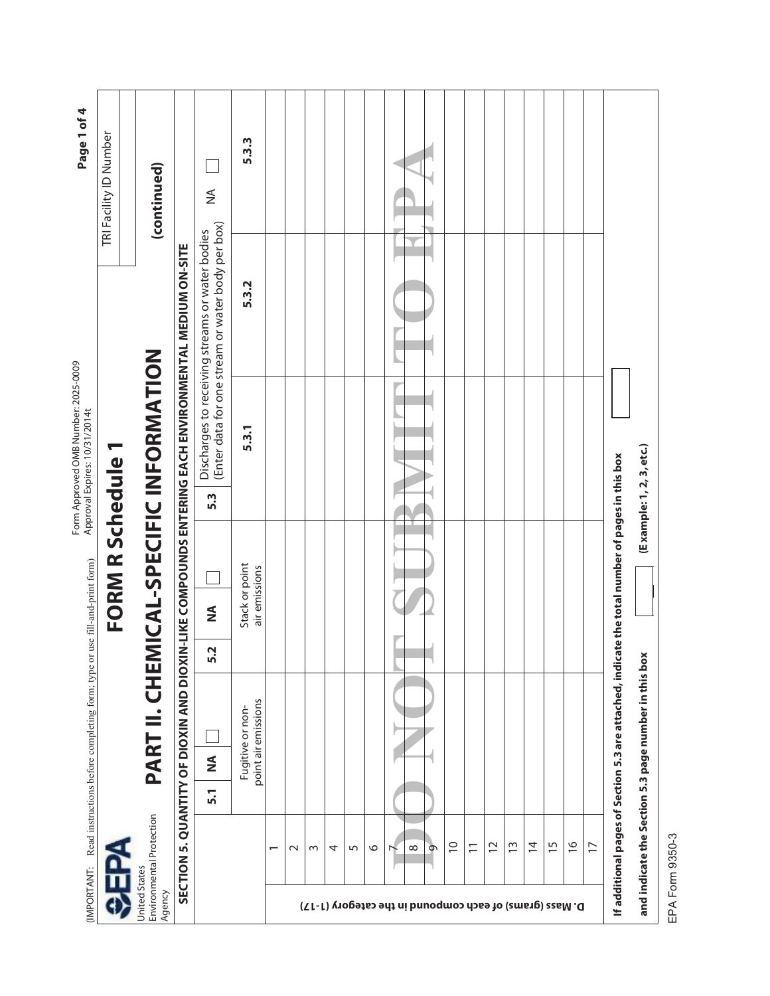| (IMPORTANT:                                             |                          |                  |               | Read instructions before completing form; type or                                               |                                              |                  | use fill-and-print form)        |     | Form Approved OMB Number: 2025-0009<br>Approval Expires: 10/31/2014t |                                                                                                      |                        | Page 1 of 4 |
|---------------------------------------------------------|--------------------------|------------------|---------------|-------------------------------------------------------------------------------------------------|----------------------------------------------|------------------|---------------------------------|-----|----------------------------------------------------------------------|------------------------------------------------------------------------------------------------------|------------------------|-------------|
|                                                         |                          |                  |               |                                                                                                 |                                              |                  | FORM R Schedule 1               |     |                                                                      |                                                                                                      | TRI Facility ID Number |             |
| United States                                           | Environmental Protection |                  |               |                                                                                                 |                                              |                  |                                 |     | PART II. CHEMICAL-SPECIFIC INFORMATION                               |                                                                                                      |                        |             |
| Agency                                                  |                          |                  |               |                                                                                                 |                                              |                  |                                 |     |                                                                      |                                                                                                      | (continued)            |             |
|                                                         | SECTION                  |                  |               |                                                                                                 |                                              |                  |                                 |     |                                                                      | 5. QUANTITY OF DIOXIN AND DIOXIN-LIKE COMPOUNDS ENTERING EACH ENVIRONMENTAL MEDIUM ON-SITE           |                        |             |
|                                                         |                          | $\overline{5}$ . | $\frac{1}{2}$ |                                                                                                 | $\mathbf{\mathsf{N}}$<br>$\ddot{\mathbf{n}}$ | $\sum_{i=1}^{n}$ |                                 | 5.3 |                                                                      | (Enter data for one stream or water body per box)<br>Discharges to receiving streams or water bodies | $\frac{4}{2}$          |             |
|                                                         |                          |                  |               | point air emissions<br>Fugitive or non-                                                         |                                              |                  | Stack or point<br>air emissions |     | 5.3.1                                                                | 5.3.2                                                                                                |                        | 5.3.3       |
|                                                         | $\overline{\phantom{0}}$ |                  |               |                                                                                                 |                                              |                  |                                 |     |                                                                      |                                                                                                      |                        |             |
|                                                         | $\sim$                   |                  |               |                                                                                                 |                                              |                  |                                 |     |                                                                      |                                                                                                      |                        |             |
|                                                         | $\sim$                   |                  |               |                                                                                                 |                                              |                  |                                 |     |                                                                      |                                                                                                      |                        |             |
|                                                         | 4                        |                  |               |                                                                                                 |                                              |                  |                                 |     |                                                                      |                                                                                                      |                        |             |
|                                                         | 5                        |                  |               |                                                                                                 |                                              |                  |                                 |     |                                                                      |                                                                                                      |                        |             |
|                                                         | $\circ$                  |                  |               |                                                                                                 |                                              |                  |                                 |     |                                                                      |                                                                                                      |                        |             |
|                                                         |                          |                  |               |                                                                                                 |                                              |                  |                                 |     |                                                                      |                                                                                                      |                        |             |
| D. Mass (grams) of each compound in the category (1-17) | $\infty$                 |                  |               |                                                                                                 |                                              |                  |                                 |     |                                                                      |                                                                                                      |                        |             |
|                                                         | Φ                        |                  |               |                                                                                                 |                                              |                  |                                 |     |                                                                      |                                                                                                      |                        |             |
|                                                         | $\overline{C}$           |                  |               |                                                                                                 |                                              |                  |                                 |     |                                                                      |                                                                                                      |                        |             |
|                                                         | $\overline{1}$           |                  |               |                                                                                                 |                                              |                  |                                 |     |                                                                      |                                                                                                      |                        |             |
|                                                         | $\sim$                   |                  |               |                                                                                                 |                                              |                  |                                 |     |                                                                      |                                                                                                      |                        |             |
|                                                         | $\frac{3}{2}$            |                  |               |                                                                                                 |                                              |                  |                                 |     |                                                                      |                                                                                                      |                        |             |
|                                                         | $\overline{4}$           |                  |               |                                                                                                 |                                              |                  |                                 |     |                                                                      |                                                                                                      |                        |             |
|                                                         | $\overline{15}$          |                  |               |                                                                                                 |                                              |                  |                                 |     |                                                                      |                                                                                                      |                        |             |
|                                                         | $\frac{6}{1}$            |                  |               |                                                                                                 |                                              |                  |                                 |     |                                                                      |                                                                                                      |                        |             |
|                                                         | $\overline{1}$           |                  |               |                                                                                                 |                                              |                  |                                 |     |                                                                      |                                                                                                      |                        |             |
|                                                         |                          |                  |               | If additional pages of Section 5.3 are attached, indicate the total number of pages in this box |                                              |                  |                                 |     |                                                                      |                                                                                                      |                        |             |
|                                                         |                          |                  |               | and indicate the Section 5.3 page number in this box                                            |                                              |                  |                                 |     | (Example: 1, 2, 3, etc.)                                             |                                                                                                      |                        |             |
|                                                         | EPA Form 9350-3          |                  |               |                                                                                                 |                                              |                  |                                 |     |                                                                      |                                                                                                      |                        |             |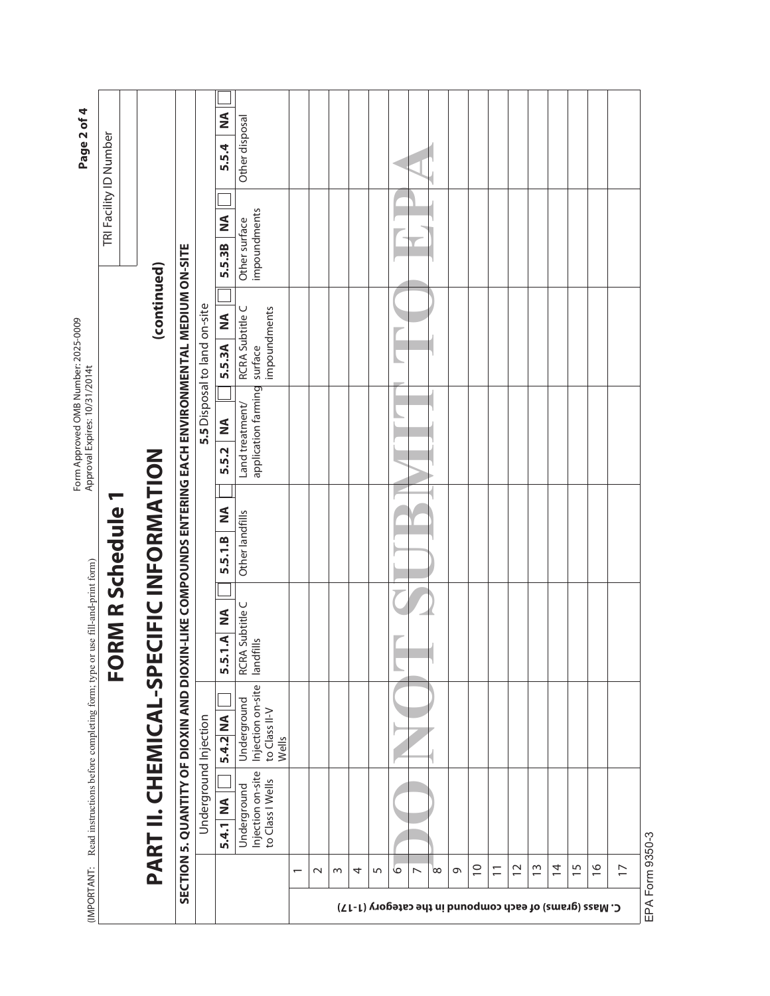| Page 2 of 4                                                                |                        |                                        |                                                             |                              | ≨<br>5.5.4                  | Other disposal                                             |                          |             |   |   |   |   |                                                                          |   |             |                |                |               |                |                 |               |                     |
|----------------------------------------------------------------------------|------------------------|----------------------------------------|-------------------------------------------------------------|------------------------------|-----------------------------|------------------------------------------------------------|--------------------------|-------------|---|---|---|---|--------------------------------------------------------------------------|---|-------------|----------------|----------------|---------------|----------------|-----------------|---------------|---------------------|
|                                                                            | TRI Facility ID Number |                                        |                                                             |                              | $\mathbf{\Sigma}$<br>5.5.3B | impoundments<br>Other surface                              |                          |             |   |   |   |   |                                                                          |   |             |                |                |               |                |                 |               |                     |
|                                                                            |                        | (continued)                            | N-LIKE COMPOUNDS ENTERING EACH ENVIRONMENTAL MEDIUM ON-SITE | 5.5 Disposal to land on-site | $\frac{8}{2}$<br>5.5.3A     | RCRA Subtitle C<br>impoundments                            |                          |             |   |   |   |   |                                                                          |   |             |                |                |               |                |                 |               |                     |
| Form Approved OMB Number: 2025-0009<br>Approval Expires: 10/31/2014t       |                        |                                        |                                                             |                              | $\leq$<br>5.5.2             | application farming surface<br>Land treatment/             |                          |             |   |   |   |   |                                                                          |   |             |                |                |               |                |                 |               |                     |
|                                                                            |                        |                                        |                                                             |                              | $\frac{1}{2}$<br>5.5.1.B    | Other landfills                                            |                          |             |   |   |   |   |                                                                          |   |             |                |                |               |                |                 |               |                     |
|                                                                            | <b>RM R Schedule 1</b> |                                        |                                                             |                              | 5.5.1.A NA                  | RCRA Subtitle C<br>landfills                               |                          |             |   |   |   |   |                                                                          |   |             |                |                |               |                |                 |               |                     |
|                                                                            | <u>O</u>               |                                        |                                                             |                              | 5.4.2 NA                    | Injection on-site<br>Underground<br>to Class II-V<br>Wells |                          |             |   |   |   |   |                                                                          |   |             |                |                |               |                |                 |               |                     |
| Read instructions before completing form; type or use fill-and-print form) |                        | PART II. CHEMICAL-SPECIFIC INFORMATION | SECTION 5. QUANTITY OF DIOXIN AND DIOXI                     | Underground Injection        | 5.4.1 NA                    | Injection on-site<br>to Class I Wells<br>Underground       |                          |             |   |   |   |   |                                                                          |   |             |                |                |               |                |                 |               |                     |
| (IMPORTANT:                                                                |                        |                                        |                                                             |                              |                             |                                                            | $\overline{\phantom{0}}$ | $\mathbf 1$ | w | 4 | 5 | ७ | $\infty$<br>↖<br>C. Mass (grams) of each compound in the category (1717) | e | $\supseteq$ | $\overline{1}$ | $\overline{C}$ | $\frac{3}{2}$ | $\overline{4}$ | $\overline{15}$ | $\frac{6}{1}$ | $\overline{1}$<br>É |

EPA Form 9350-3 EPA Form 9350-3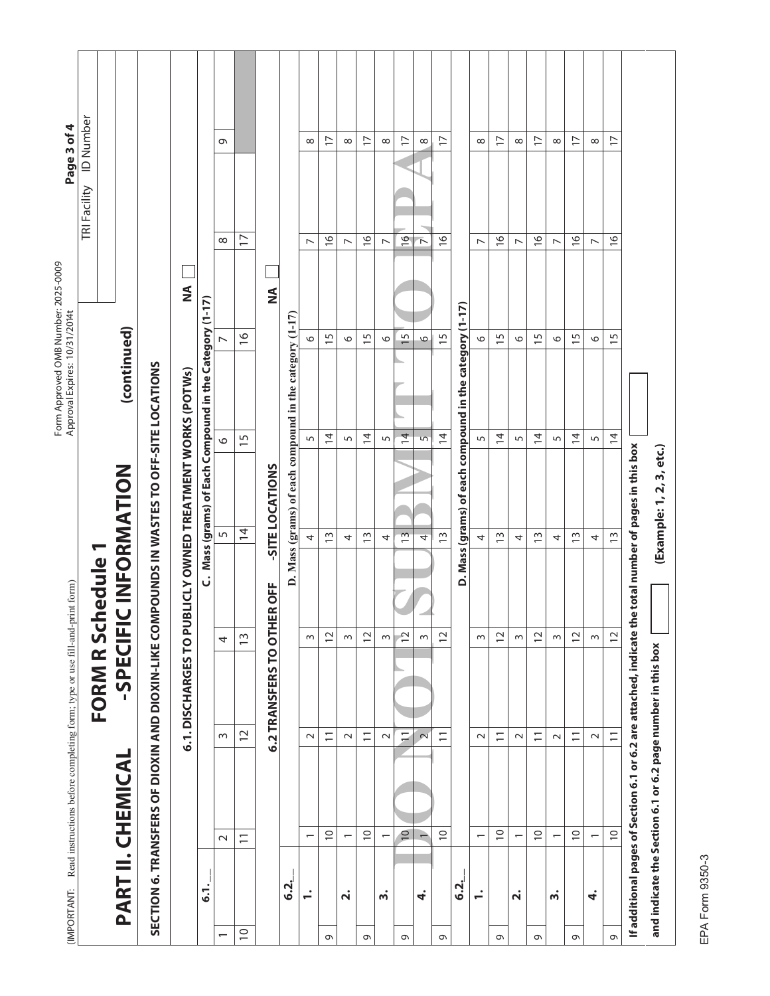| Page 3 of 4                                                                            | <b>ID Number</b> |                     |                                                                               |                                             |                                                      | Ō                        |                          |                             |                                                         | $\infty$                           | $\overline{1}$  | $\infty$                             | $\overline{1}$                     | $\infty$             | $\overline{1}$  | ${}^{\circ}$             | $\overline{1}$          |                                                         | $\infty$                           | $\overline{1}$  | $\infty$                             | $\overline{1}$  | $\infty$                              | $\overline{1}$           | ${}^{\circ}$                   | $\overline{1}$  |                                                                     |                                                             |
|----------------------------------------------------------------------------------------|------------------|---------------------|-------------------------------------------------------------------------------|---------------------------------------------|------------------------------------------------------|--------------------------|--------------------------|-----------------------------|---------------------------------------------------------|------------------------------------|-----------------|--------------------------------------|------------------------------------|----------------------|-----------------|--------------------------|-------------------------|---------------------------------------------------------|------------------------------------|-----------------|--------------------------------------|-----------------|---------------------------------------|--------------------------|--------------------------------|-----------------|---------------------------------------------------------------------|-------------------------------------------------------------|
|                                                                                        | TRI Facility     |                     |                                                                               | ⋚                                           |                                                      | $\infty$                 | $\overline{1}$           | $\frac{1}{2}$               |                                                         | $\overline{ }$                     | $\frac{6}{2}$   | $\overline{ }$                       | $\frac{\infty}{\infty}$            | $\triangleright$     | $\frac{6}{1}$   | $\overline{\phantom{a}}$ | $\frac{\infty}{\infty}$ |                                                         | $\overline{ }$                     | $\frac{9}{2}$   | $\overline{ }$                       | $\frac{9}{1}$   | $\overline{ }$                        | $\frac{9}{2}$            | $\overline{ }$                 | $\frac{6}{1}$   |                                                                     |                                                             |
| Form Approved OMB Number: 2025-0009<br>Approval Expires:  10/31/2014t                  |                  | (continued)         |                                                                               |                                             | Mass (grams) of Each Compound in the Category (1-17) |                          | $\frac{6}{1}$            |                             |                                                         | 0                                  | $\overline{15}$ | $\circ$                              | 5                                  | $\circ$              | 15              | $\circ$                  | $\overline{15}$         |                                                         | $\circ$                            | 5               | $\circ$                              | 5               | $\circ$                               | $\overline{15}$          | $\circ$                        | $\overline{15}$ |                                                                     |                                                             |
|                                                                                        |                  |                     | SECTION 6. TRANSFERS OF DIOXIN-LIKE COMPOUNDS IN WASTES TO OFF-SITE LOCATIONS | <b>BLICLY OWNED TREATMENT WORKS (POTWS)</b> |                                                      | $\circ$                  | $\frac{5}{1}$            | -SITE LOCATIONS             | D. Mass (grams) of each compound in the category (1-17) | 5                                  | $\overline{4}$  | 5                                    | $\overline{4}$                     | $\mathsf{L}\cap$     | $\overline{4}$  | 5                        | $\overline{4}$          | D. Mass (grams) of each compound in the category (1-17) | 5                                  | $\overline{4}$  | 5                                    | $\overline{4}$  | 5                                     | $\overline{4}$           | 5                              | $\overline{4}$  |                                                                     | (Example: 1, 2, 3, etc.)                                    |
|                                                                                        | hedule 1         | <b>CINFORMATION</b> |                                                                               |                                             | .<br>ن                                               | 5                        | $\frac{1}{4}$            | ER OFF                      |                                                         | 4                                  | $\tilde{1}$     | 4                                    | $\frac{3}{2}$                      | 4                    | $\frac{3}{2}$   | 4                        | $\frac{3}{2}$           |                                                         | 4                                  | $\frac{3}{2}$   | 4                                    | $\frac{3}{2}$   | 4                                     | $\tilde{1}$              | 4                              | $\frac{3}{2}$   | e total number of pages in this box                                 |                                                             |
| (IMPORTANT: Read instructions before completing form; type or use fill-and-print form) | FORM R Sci       | <b>SPECIFI</b>      |                                                                               | 6.1. DISCHARGES TO PU                       |                                                      | 4                        | $\tilde{1}$              | <b>6.2 TRANSFERS TO OTH</b> |                                                         | $\sim$                             | $\overline{c}$  | $\sim$                               | $\sim$<br>$\overline{\phantom{0}}$ | $\sim$               | $\mathbf{r}$    | $\sim$                   | $\overline{1}$          |                                                         | $\sim$                             | $\overline{12}$ | $\sim$                               | $\overline{12}$ | $\sim$                                | $\overline{c}$           | $\sim$                         | $\overline{c}$  | If additional pages of Section 6.1 or 6.2 are attached, indicate th |                                                             |
|                                                                                        |                  |                     |                                                                               |                                             |                                                      | $\sim$                   | $\overline{c}$           |                             |                                                         | $\sim$                             | $\overline{1}$  | $\sim$                               | $\overline{\phantom{0}}$           | $\sim$               | $\overline{1}$  | $\sim$                   | $\overline{1}$          |                                                         | $\sim$                             | $\overline{1}$  | $\sim$                               | $\overline{1}$  | $\sim$                                | $\overline{\phantom{0}}$ | $\sim$                         | $\overline{1}$  |                                                                     | and indicate the Section 6.1 or 6.2 page number in this box |
|                                                                                        |                  | PART II. CHEMICAL   |                                                                               |                                             | 51                                                   | $\sim$                   | $\overline{\phantom{0}}$ |                             | 6.2.                                                    | $\overline{\phantom{0}}$<br>$\div$ | $\overline{0}$  | $\overline{ }$<br>$\dot{\mathbf{r}}$ | $\supseteq$                        | $\overline{ }$<br>ຕໍ | $\overline{10}$ | 4                        | $\supseteq$             | <u>.s</u>                                               | $\overline{\phantom{0}}$<br>$\div$ | $\supseteq$     | $\overline{ }$<br>$\dot{\mathsf{r}}$ | $\overline{C}$  | $\overline{\phantom{0}}$<br>$\dot{m}$ | $\supseteq$              | $\overline{\phantom{0}}$<br>4. | $\overline{C}$  |                                                                     |                                                             |
|                                                                                        |                  |                     |                                                                               |                                             |                                                      | $\overline{\phantom{0}}$ | $\supseteq$              |                             |                                                         |                                    | G               |                                      | Q                                  |                      | 9               |                          | $\circ$                 |                                                         |                                    | $\sigma$        |                                      | $\circ$         |                                       | Q                        |                                | $\circ$         |                                                                     |                                                             |

EPA Form 9350-3 EPA Form 9350-3